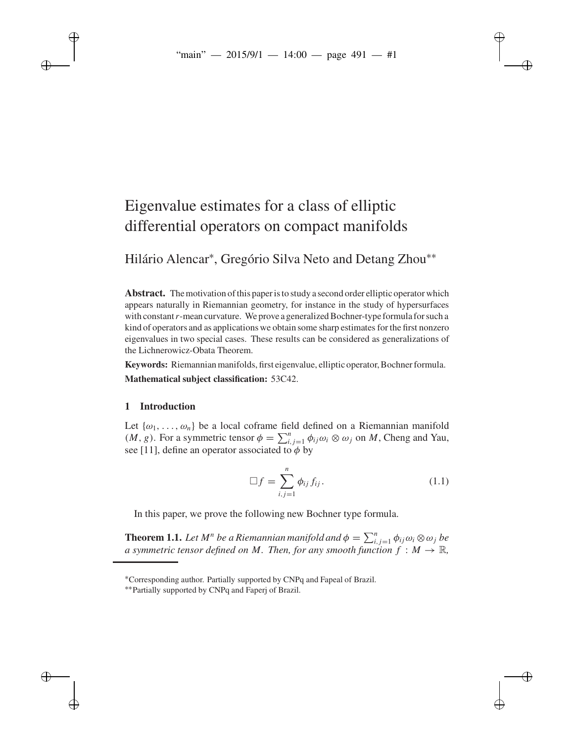# Eigenvalue estimates for a class of elliptic differential operators on compact manifolds

Hilário Alencar<sup>∗</sup> , Gregório Silva Neto and Detang Zhou∗∗

**Abstract.** The motivation of this paper is to study a second order elliptic operator which appears naturally in Riemannian geometry, for instance in the study of hypersurfaces with constant*r*-mean curvature. We prove a generalized Bochner-type formula for such a kind of operators and as applications we obtain some sharp estimates for the first nonzero eigenvalues in two special cases. These results can be considered as generalizations of the Lichnerowicz-Obata Theorem.

**Keywords:** Riemannian manifolds, first eigenvalue, elliptic operator, Bochner formula. **Mathematical subject classification:** 53C42.

# **1 Introduction**

Let  $\{\omega_1, \ldots, \omega_n\}$  be a local coframe field defined on a Riemannian manifold (*M*, *g*). For a symmetric tensor  $\phi = \sum_{i,j=1}^{n} \phi_{ij} \omega_i \otimes \omega_j$  on *M*, Cheng and Yau, see [11], define an operator associated to  $\phi$  by

$$
\Box f = \sum_{i,j=1}^{n} \phi_{ij} f_{ij}.
$$
 (1.1)

In this paper, we prove the following new Bochner type formula.

**Theorem 1.1.** Let  $M^n$  be a Riemannian manifold and  $\phi = \sum_{i,j=1}^n \phi_{ij} \omega_i \otimes \omega_j$  be *a symmetric tensor defined on M. Then, for any smooth function*  $f : M \to \mathbb{R}$ *,* 

<sup>∗</sup>Corresponding author. Partially supported by CNPq and Fapeal of Brazil.

<sup>∗∗</sup>Partially supported by CNPq and Faperj of Brazil.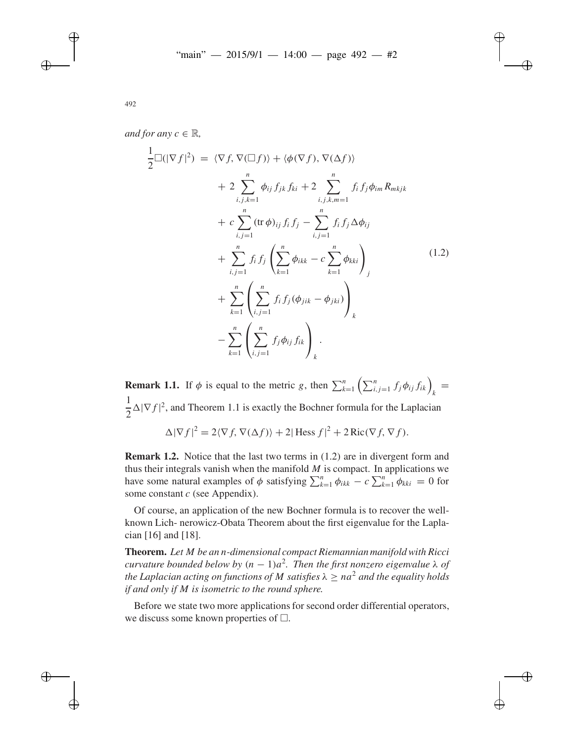$$
\frac{1}{2}\Box(|\nabla f|^{2}) = \langle \nabla f, \nabla(\Box f) \rangle + \langle \phi(\nabla f), \nabla(\Delta f) \rangle \n+ 2 \sum_{i,j,k=1}^{n} \phi_{ij} f_{jk} f_{ki} + 2 \sum_{i,j,k,m=1}^{n} f_{i} f_{j} \phi_{im} R_{mkjk} \n+ c \sum_{i,j=1}^{n} (\text{tr } \phi)_{ij} f_{i} f_{j} - \sum_{i,j=1}^{n} f_{i} f_{j} \Delta \phi_{ij} \n+ \sum_{i,j=1}^{n} f_{i} f_{j} \left( \sum_{k=1}^{n} \phi_{ikk} - c \sum_{k=1}^{n} \phi_{kki} \right)_{j} \n+ \sum_{k=1}^{n} \left( \sum_{i,j=1}^{n} f_{i} f_{j} (\phi_{jik} - \phi_{jki}) \right)_{k} \n- \sum_{k=1}^{n} \left( \sum_{i,j=1}^{n} f_{j} \phi_{ij} f_{ik} \right)_{k}.
$$
\n(1.2)

**Remark 1.1.** If  $\phi$  is equal to the metric *g*, then  $\sum_{k=1}^{n} \left( \sum_{i,j=1}^{n} f_j \phi_{ij} f_{ik} \right)_k =$ 1  $\frac{1}{2} \Delta |\nabla f|^2$ , and Theorem 1.1 is exactly the Bochner formula for the Laplacian  $\Delta |\nabla f|^2 = 2\langle \nabla f, \nabla(\Delta f) \rangle + 2|\text{Hess } f|^2 + 2\text{Ric}(\nabla f, \nabla f).$ 

**Remark 1.2.** Notice that the last two terms in (1.2) are in divergent form and thus their integrals vanish when the manifold *M* is compact. In applications we have some natural examples of  $\phi$  satisfying  $\sum_{k=1}^{n} \phi_{ikk} - c \sum_{k=1}^{n} \phi_{kki} = 0$  for

Of course, an application of the new Bochner formula is to recover the wellknown Lich- nerowicz-Obata Theorem about the first eigenvalue for the Laplacian [16] and [18].

some constant *c* (see Appendix).

**Theorem.** *Let M be an n-dimensional compact Riemannian manifold with Ricci curvature bounded below by*  $(n - 1)a^2$ . Then the first nonzero eigenvalue  $\lambda$  of *the Laplacian acting on functions of M satisfies*  $\lambda > na^2$  *and the equality holds if and only if M is isometric to the round sphere.*

Before we state two more applications for second order differential operators, we discuss some known properties of  $\Box$ .

*and for any*  $c \in \mathbb{R}$ *,*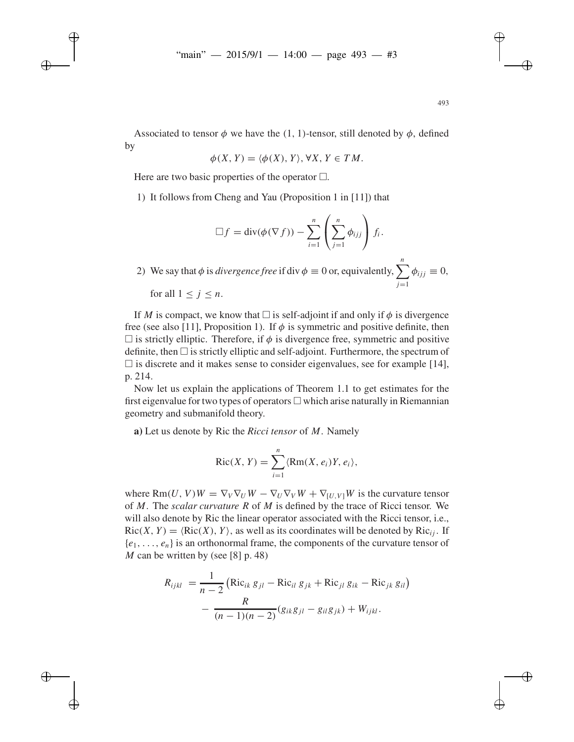Associated to tensor  $\phi$  we have the (1, 1)-tensor, still denoted by  $\phi$ , defined by

$$
\phi(X, Y) = \langle \phi(X), Y \rangle, \forall X, Y \in TM.
$$

Here are two basic properties of the operator  $\square$ .

1) It follows from Cheng and Yau (Proposition 1 in [11]) that

$$
\Box f = \text{div}(\phi(\nabla f)) - \sum_{i=1}^n \left( \sum_{j=1}^n \phi_{ijj} \right) f_i.
$$

2) We say that  $\phi$  is *divergence free* if div  $\phi \equiv 0$  or, equivalently,  $\sum_{n=1}^{n}$ *j*=1  $\phi_{ijj} \equiv 0$ , for all  $1 \leq j \leq n$ .

If *M* is compact, we know that  $\Box$  is self-adjoint if and only if  $\phi$  is divergence free (see also [11], Proposition 1). If  $\phi$  is symmetric and positive definite, then  $\square$  is strictly elliptic. Therefore, if  $\phi$  is divergence free, symmetric and positive definite, then  $\Box$  is strictly elliptic and self-adjoint. Furthermore, the spectrum of  $\Box$  is discrete and it makes sense to consider eigenvalues, see for example [14], p. 214.

Now let us explain the applications of Theorem 1.1 to get estimates for the first eigenvalue for two types of operators  $\Box$  which arise naturally in Riemannian geometry and submanifold theory.

**a)** Let us denote by Ric the *Ricci tensor* of *M*. Namely

$$
Ric(X, Y) = \sum_{i=1}^{n} \langle Rm(X, e_i)Y, e_i \rangle,
$$

where  $\text{Rm}(U, V)W = \nabla_V \nabla_U W - \nabla_U \nabla_V W + \nabla_{[U, V]} W$  is the curvature tensor of *M*. The *scalar curvature R* of *M* is defined by the trace of Ricci tensor. We will also denote by Ric the linear operator associated with the Ricci tensor, i.e.,  $Ric(X, Y) = \langle Ric(X), Y \rangle$ , as well as its coordinates will be denoted by  $Ric_{ij}$ . If  ${e_1, \ldots, e_n}$  is an orthonormal frame, the components of the curvature tensor of *M* can be written by (see [8] p. 48)

$$
R_{ijkl} = \frac{1}{n-2} \left( \text{Ric}_{ik} g_{jl} - \text{Ric}_{il} g_{jk} + \text{Ric}_{jl} g_{ik} - \text{Ric}_{jk} g_{il} \right) - \frac{R}{(n-1)(n-2)} (g_{ik} g_{jl} - g_{il} g_{jk}) + W_{ijkl}.
$$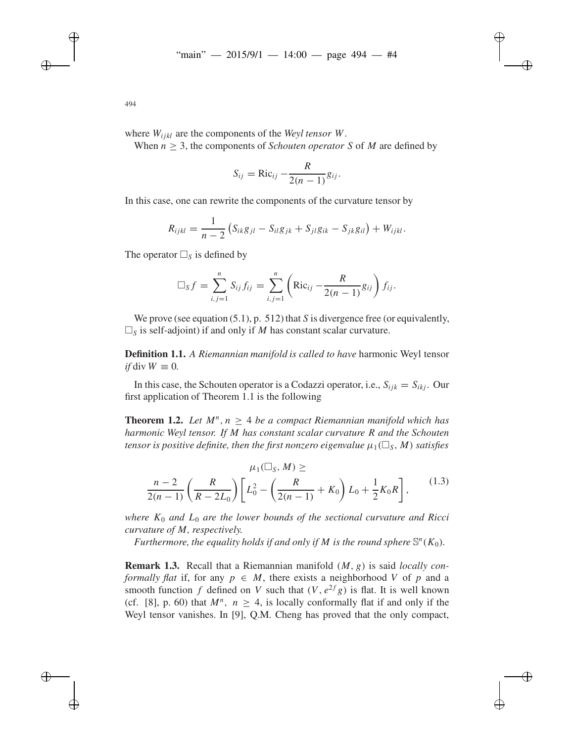where  $W_{ijkl}$  are the components of the *Weyl tensor W*.

When  $n > 3$ , the components of *Schouten operator S* of *M* are defined by

$$
S_{ij} = \text{Ric}_{ij} - \frac{R}{2(n-1)}g_{ij}.
$$

In this case, one can rewrite the components of the curvature tensor by

$$
R_{ijkl} = \frac{1}{n-2} \left( S_{ik} g_{jl} - S_{il} g_{jk} + S_{jl} g_{ik} - S_{jk} g_{il} \right) + W_{ijkl}.
$$

The operator  $\Box_S$  is defined by

$$
\Box_S f = \sum_{i,j=1}^n S_{ij} f_{ij} = \sum_{i,j=1}^n \left( \text{Ric}_{ij} - \frac{R}{2(n-1)} g_{ij} \right) f_{ij}.
$$

We prove (see equation (5.1), p. 512) that *S* is divergence free (or equivalently,  $\square$ <sub>S</sub> is self-adjoint) if and only if *M* has constant scalar curvature.

**Definition 1.1.** *A Riemannian manifold is called to have* harmonic Weyl tensor  $if \text{div } W \equiv 0.$ 

In this case, the Schouten operator is a Codazzi operator, i.e.,  $S_{iik} = S_{iki}$ . Our first application of Theorem 1.1 is the following

**Theorem 1.2.** Let  $M^n$ ,  $n > 4$  be a compact Riemannian manifold which has *harmonic Weyl tensor. If M has constant scalar curvature R and the Schouten*  $t$ ensor is positive definite, then the first nonzero eigenvalue  $\mu_1(\Box_S, M)$  satisfies

$$
\mu_1(\square_S, M) \ge
$$
  
\n
$$
\frac{n-2}{2(n-1)} \left( \frac{R}{R - 2L_0} \right) \left[ L_0^2 - \left( \frac{R}{2(n-1)} + K_0 \right) L_0 + \frac{1}{2} K_0 R \right],
$$
\n(1.3)

*where*  $K_0$  *and*  $L_0$  *are the lower bounds of the sectional curvature and Ricci curvature of M, respectively.*

*Furthermore, the equality holds if and only if M is the round sphere*  $\mathbb{S}^n(K_0)$ *.* 

**Remark 1.3.** Recall that a Riemannian manifold (*M*, *g*) is said *locally conformally flat* if, for any  $p \in M$ , there exists a neighborhood V of p and a smooth function *f* defined on *V* such that  $(V, e^{2f}g)$  is flat. It is well known (cf. [8], p. 60) that  $M^n$ ,  $n > 4$ , is locally conformally flat if and only if the Weyl tensor vanishes. In [9], Q.M. Cheng has proved that the only compact,

494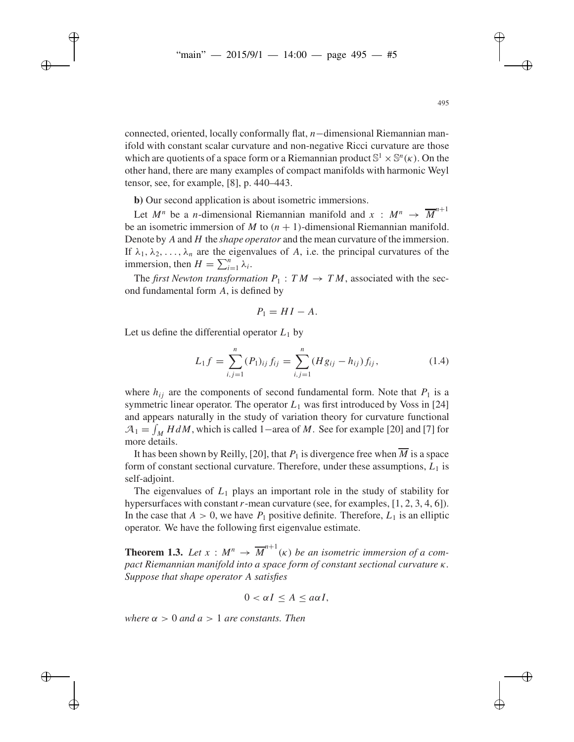connected, oriented, locally conformally flat, *n*−dimensional Riemannian manifold with constant scalar curvature and non-negative Ricci curvature are those which are quotients of a space form or a Riemannian product  $\mathbb{S}^1 \times \mathbb{S}^n(\kappa)$ . On the other hand, there are many examples of compact manifolds with harmonic Weyl tensor, see, for example, [8], p. 440–443.

**b)** Our second application is about isometric immersions.

Let  $M^n$  be a *n*-dimensional Riemannian manifold and  $x : M^n \rightarrow \overline{M}^{n+1}$ be an isometric immersion of *M* to  $(n + 1)$ -dimensional Riemannian manifold. Denote by *A* and *H* the *shape operator* and the mean curvature of the immersion. If  $\lambda_1, \lambda_2, \ldots, \lambda_n$  are the eigenvalues of *A*, i.e. the principal curvatures of the immersion, then  $H = \sum_{i=1}^{n} \lambda_i$ .

The *first Newton transformation*  $P_1$  :  $TM \rightarrow TM$ , associated with the second fundamental form *A*, is defined by

$$
P_1 = H I - A.
$$

Let us define the differential operator  $L_1$  by

$$
L_1 f = \sum_{i,j=1}^n (P_1)_{ij} f_{ij} = \sum_{i,j=1}^n (Hg_{ij} - h_{ij}) f_{ij},
$$
 (1.4)

where  $h_{ij}$  are the components of second fundamental form. Note that  $P_1$  is a symmetric linear operator. The operator  $L_1$  was first introduced by Voss in [24] and appears naturally in the study of variation theory for curvature functional  $A_1 = \int_M H dM$ , which is called 1–area of *M*. See for example [20] and [7] for more details.

It has been shown by Reilly, [20], that  $P_1$  is divergence free when  $\overline{M}$  is a space form of constant sectional curvature. Therefore, under these assumptions,  $L_1$  is self-adjoint.

The eigenvalues of *L*<sup>1</sup> plays an important role in the study of stability for hypersurfaces with constant*r*-mean curvature (see, for examples, [1, 2, 3, 4, 6]). In the case that  $A > 0$ , we have  $P_1$  positive definite. Therefore,  $L_1$  is an elliptic operator. We have the following first eigenvalue estimate.

**Theorem 1.3.** Let  $x : M^n \to \overline{M}^{n+1}(\kappa)$  be an isometric immersion of a com*pact Riemannian manifold into a space form of constant sectional curvature* κ*. Suppose that shape operator A satisfies*

$$
0 < \alpha I \le A \le a\alpha I,
$$

*where*  $\alpha > 0$  *and*  $a > 1$  *are constants. Then*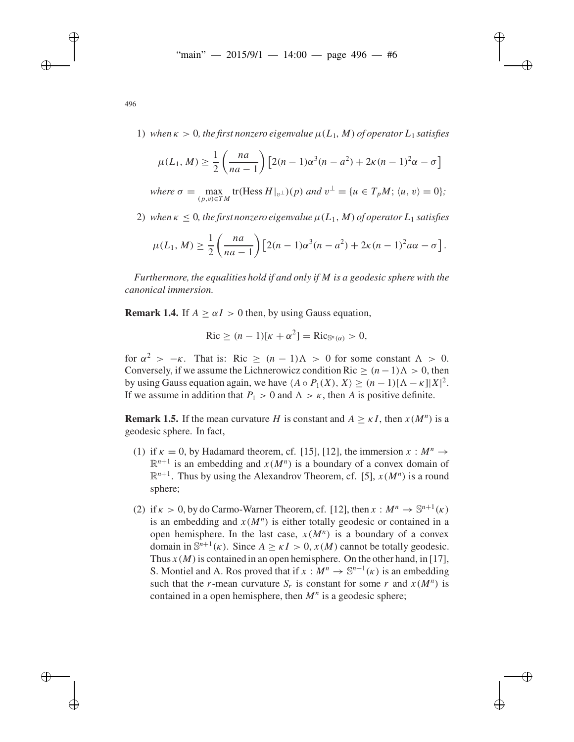1) when  $\kappa > 0$ , the first nonzero eigenvalue  $\mu(L_1, M)$  of operator  $L_1$  satisfies

$$
\mu(L_1, M) \ge \frac{1}{2} \left( \frac{na}{na - 1} \right) \left[ 2(n - 1)\alpha^3(n - a^2) + 2\kappa(n - 1)^2 \alpha - \sigma \right]
$$

*where*  $\sigma = \max_{(p,v)\in TM}$  tr(Hess  $H|_{v^{\perp}}(p)$  *and*  $v^{\perp} = \{u \in T_pM; \langle u, v \rangle = 0\};$ 

2) when  $\kappa \leq 0$ , the first nonzero eigenvalue  $\mu(L_1, M)$  of operator  $L_1$  satisfies

$$
\mu(L_1, M) \geq \frac{1}{2} \left( \frac{na}{na-1} \right) \left[ 2(n-1)\alpha^3(n-a^2) + 2\kappa(n-1)^2 a\alpha - \sigma \right].
$$

*Furthermore, the equalities hold if and only if M is a geodesic sphere with the canonical immersion.*

**Remark 1.4.** If  $A > \alpha I > 0$  then, by using Gauss equation,

$$
\operatorname{Ric} \ge (n-1)[\kappa + \alpha^2] = \operatorname{Ric}_{\mathbb{S}^n(\alpha)} > 0,
$$

for  $\alpha^2 > -\kappa$ . That is: Ric >  $(n-1)\Lambda > 0$  for some constant  $\Lambda > 0$ . Conversely, if we assume the Lichnerowicz condition Ric  $> (n-1)\Lambda > 0$ , then by using Gauss equation again, we have  $\langle A \circ P_1(X), X \rangle \ge (n-1)[\Lambda - \kappa]|X|^2$ . If we assume in addition that  $P_1 > 0$  and  $\Lambda > \kappa$ , then *A* is positive definite.

**Remark 1.5.** If the mean curvature *H* is constant and  $A \geq \kappa I$ , then  $x(M^n)$  is a geodesic sphere. In fact,

- (1) if  $\kappa = 0$ , by Hadamard theorem, cf. [15], [12], the immersion  $x : M^n \to$  $\mathbb{R}^{n+1}$  is an embedding and  $x(M^n)$  is a boundary of a convex domain of  $\mathbb{R}^{n+1}$ . Thus by using the Alexandrov Theorem, cf. [5],  $x(M^n)$  is a round sphere;
- (2) if  $\kappa > 0$ , by do Carmo-Warner Theorem, cf. [12], then  $x : M^n \to \mathbb{S}^{n+1}(\kappa)$ is an embedding and  $x(M^n)$  is either totally geodesic or contained in a open hemisphere. In the last case,  $x(M^n)$  is a boundary of a convex domain in  $\mathbb{S}^{n+1}(\kappa)$ . Since  $A > \kappa I > 0$ ,  $x(M)$  cannot be totally geodesic. Thus  $x(M)$  is contained in an open hemisphere. On the other hand, in [17], S. Montiel and A. Ros proved that if  $x : M^n \to \mathbb{S}^{n+1}(\kappa)$  is an embedding such that the *r*-mean curvature  $S_r$  is constant for some *r* and  $x(M^n)$  is contained in a open hemisphere, then  $M<sup>n</sup>$  is a geodesic sphere;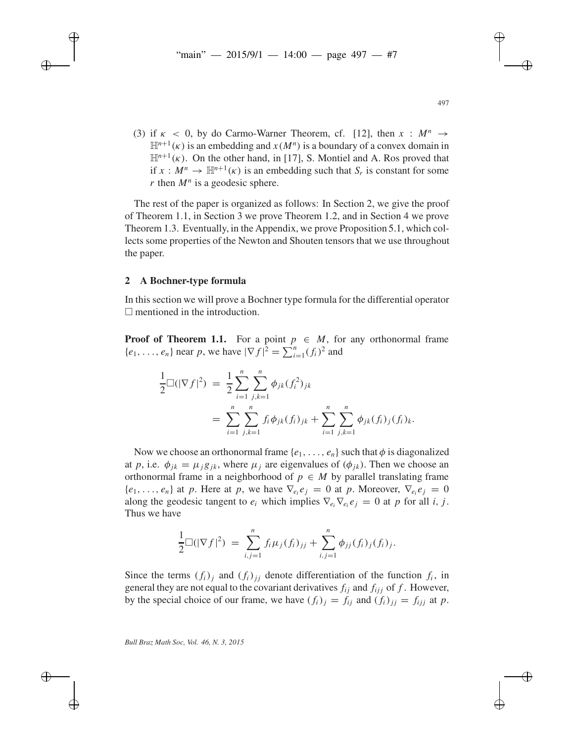(3) if  $\kappa$  < 0, by do Carmo-Warner Theorem, cf. [12], then  $x : M^n \to$  $\mathbb{H}^{n+1}(\kappa)$  is an embedding and  $x(M^n)$  is a boundary of a convex domain in  $\mathbb{H}^{n+1}(\kappa)$ . On the other hand, in [17], S. Montiel and A. Ros proved that if  $x : M^n \to \mathbb{H}^{n+1}(\kappa)$  is an embedding such that  $S_r$  is constant for some *r* then  $M^n$  is a geodesic sphere.

The rest of the paper is organized as follows: In Section 2, we give the proof of Theorem 1.1, in Section 3 we prove Theorem 1.2, and in Section 4 we prove Theorem 1.3. Eventually, in the Appendix, we prove Proposition 5.1, which collects some properties of the Newton and Shouten tensors that we use throughout the paper.

## **2 A Bochner-type formula**

In this section we will prove a Bochner type formula for the differential operator  $\Box$  mentioned in the introduction.

**Proof of Theorem 1.1.** For a point  $p \in M$ , for any orthonormal frame  ${e_1, ..., e_n}$  near *p*, we have  $|\nabla f|^2 = \sum_{i=1}^n (f_i)^2$  and

$$
\frac{1}{2}\Box(|\nabla f|^2) = \frac{1}{2}\sum_{i=1}^n \sum_{j,k=1}^n \phi_{jk}(f_i^2)_{jk}
$$
  
= 
$$
\sum_{i=1}^n \sum_{j,k=1}^n f_i \phi_{jk}(f_i)_{jk} + \sum_{i=1}^n \sum_{j,k=1}^n \phi_{jk}(f_i)_j(f_i)_k.
$$

Now we choose an orthonormal frame  $\{e_1, \ldots, e_n\}$  such that  $\phi$  is diagonalized at *p*, i.e.  $\phi_{ik} = \mu_i g_{ik}$ , where  $\mu_i$  are eigenvalues of  $(\phi_{ik})$ . Then we choose an orthonormal frame in a neighborhood of  $p \in M$  by parallel translating frame  ${e_1, \ldots, e_n}$  at *p*. Here at *p*, we have  $\nabla_{e_i} e_j = 0$  at *p*. Moreover,  $\nabla_{e_i} e_j = 0$ along the geodesic tangent to  $e_i$  which implies  $\nabla_{e_i}\nabla_{e_i}e_i = 0$  at *p* for all *i*, *j*. Thus we have

$$
\frac{1}{2} \Box(|\nabla f|^2) = \sum_{i,j=1}^n f_i \mu_j(f_i)_{jj} + \sum_{i,j=1}^n \phi_{jj}(f_i)_j(f_i)_j.
$$

Since the terms  $(f_i)_i$  and  $(f_i)_{ii}$  denote differentiation of the function  $f_i$ , in general they are not equal to the covariant derivatives  $f_{ij}$  and  $f_{ijj}$  of f. However, by the special choice of our frame, we have  $(f_i)_j = f_{ij}$  and  $(f_i)_{jj} = f_{ijj}$  at *p*.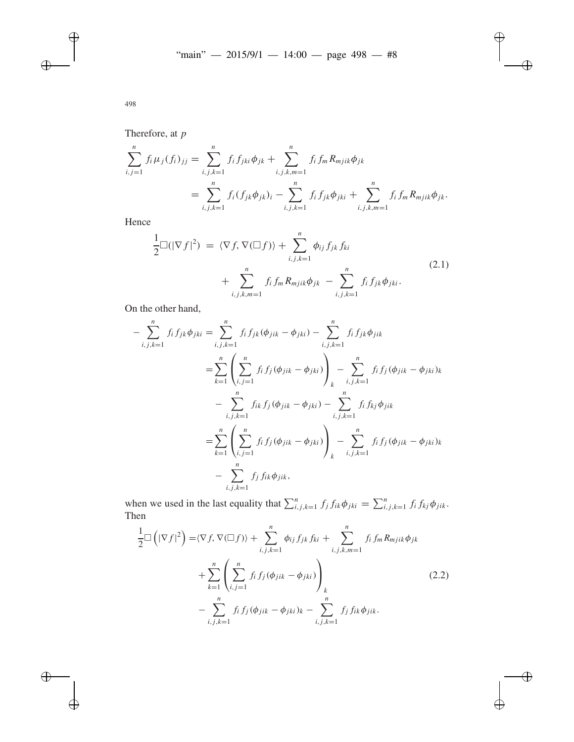Therefore, at *p*

$$
\sum_{i,j=1}^{n} f_i \mu_j(f_i)_{jj} = \sum_{i,j,k=1}^{n} f_i f_{jki} \phi_{jk} + \sum_{i,j,k,m=1}^{n} f_i f_m R_{mjik} \phi_{jk}
$$
  
= 
$$
\sum_{i,j,k=1}^{n} f_i (f_{jk} \phi_{jk})_i - \sum_{i,j,k=1}^{n} f_i f_{jk} \phi_{jki} + \sum_{i,j,k,m=1}^{n} f_i f_m R_{mjik} \phi_{jk}.
$$

Hence

$$
\frac{1}{2}\Box(|\nabla f|^2) = \langle \nabla f, \nabla (\Box f) \rangle + \sum_{i,j,k=1}^n \phi_{ij} f_{jk} f_{ki}
$$
\n
$$
+ \sum_{i,j,k,m=1}^n f_i f_m R_{mjik} \phi_{jk} - \sum_{i,j,k=1}^n f_i f_{jk} \phi_{jki}.
$$
\n(2.1)

On the other hand,

$$
-\sum_{i,j,k=1}^{n} f_i f_{jk} \phi_{jki} = \sum_{i,j,k=1}^{n} f_i f_{jk} (\phi_{jik} - \phi_{jki}) - \sum_{i,j,k=1}^{n} f_i f_{jk} \phi_{jik}
$$
  

$$
= \sum_{k=1}^{n} \left( \sum_{i,j=1}^{n} f_i f_j (\phi_{jik} - \phi_{jki}) \right)_{k} - \sum_{i,j,k=1}^{n} f_i f_j (\phi_{jik} - \phi_{jki})_{k}
$$
  

$$
- \sum_{i,j,k=1}^{n} f_{ik} f_j (\phi_{jik} - \phi_{jki}) - \sum_{i,j,k=1}^{n} f_i f_{kj} \phi_{jik}
$$
  

$$
= \sum_{k=1}^{n} \left( \sum_{i,j=1}^{n} f_i f_j (\phi_{jik} - \phi_{jki}) \right)_{k} - \sum_{i,j,k=1}^{n} f_i f_j (\phi_{jik} - \phi_{jki})_{k}
$$
  

$$
- \sum_{i,j,k=1}^{n} f_j f_{ik} \phi_{jik},
$$

when we used in the last equality that  $\sum_{i,j,k=1}^{n} f_j f_{ik} \phi_{jki} = \sum_{i,j,k=1}^{n} f_i f_{kj} \phi_{jik}$ . Then

$$
\frac{1}{2}\Box\left(|\nabla f|^{2}\right) = \langle \nabla f, \nabla(\Box f)\rangle + \sum_{i,j,k=1}^{n} \phi_{ij} f_{jk} f_{ki} + \sum_{i,j,k,m=1}^{n} f_{i} f_{m} R_{mjik} \phi_{jk} \n+ \sum_{k=1}^{n} \left(\sum_{i,j=1}^{n} f_{i} f_{j} (\phi_{jik} - \phi_{jki})\right)_{k} \n- \sum_{i,j,k=1}^{n} f_{i} f_{j} (\phi_{jik} - \phi_{jki})_{k} - \sum_{i,j,k=1}^{n} f_{j} f_{ik} \phi_{jik}.
$$
\n(2.2)

498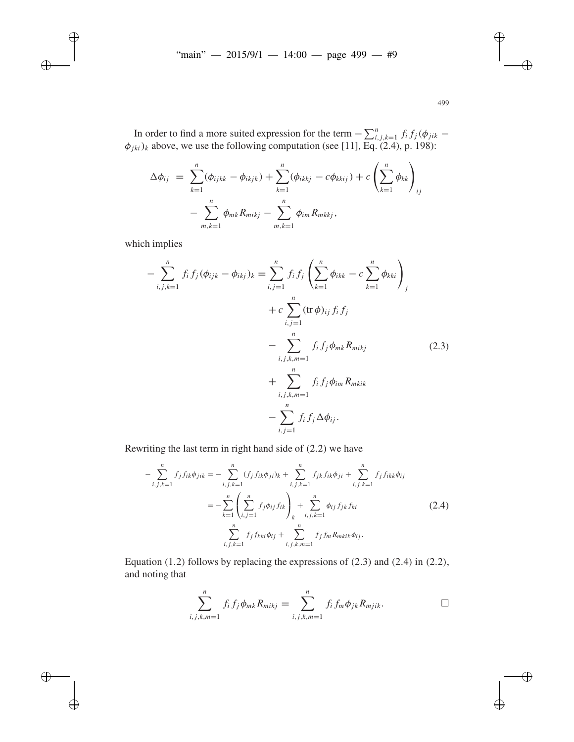In order to find a more suited expression for the term  $-\sum_{i,j,k=1}^{n} f_i f_j(\phi_{jik} - \phi_{jik})$  $\phi_{jki}$ )<sub>k</sub> above, we use the following computation (see [11], Eq. (2.4), p. 198):

$$
\Delta \phi_{ij} = \sum_{k=1}^{n} (\phi_{ijkk} - \phi_{ikjk}) + \sum_{k=1}^{n} (\phi_{ikkj} - c\phi_{kkij}) + c \left( \sum_{k=1}^{n} \phi_{kk} \right)_{ij} - \sum_{m,k=1}^{n} \phi_{mk} R_{mikj} - \sum_{m,k=1}^{n} \phi_{im} R_{mkkj},
$$

which implies

$$
- \sum_{i,j,k=1}^{n} f_i f_j (\phi_{ijk} - \phi_{ikj})_k = \sum_{i,j=1}^{n} f_i f_j \left( \sum_{k=1}^{n} \phi_{ikk} - c \sum_{k=1}^{n} \phi_{kki} \right)_j
$$
  
+ 
$$
c \sum_{i,j=1}^{n} (\text{tr } \phi)_{ij} f_i f_j
$$
  
- 
$$
- \sum_{i,j,k,m=1}^{n} f_i f_j \phi_{mk} R_{mikj}
$$
  
+ 
$$
+ \sum_{i,j,k,m=1}^{n} f_i f_j \phi_{im} R_{mkik}
$$
  
- 
$$
- \sum_{i,j=1}^{n} f_i f_j \Delta \phi_{ij}.
$$
 (2.3)

Rewriting the last term in right hand side of (2.2) we have

$$
-\sum_{i,j,k=1}^{n} f_j f_{ik} \phi_{jik} = -\sum_{i,j,k=1}^{n} (f_j f_{ik} \phi_{ji})_k + \sum_{i,j,k=1}^{n} f_{jk} f_{ik} \phi_{ji} + \sum_{i,j,k=1}^{n} f_j f_{ikk} \phi_{ij}
$$
  

$$
= -\sum_{k=1}^{n} \left( \sum_{i,j=1}^{n} f_j \phi_{ij} f_{ik} \right)_k + \sum_{i,j,k=1}^{n} \phi_{ij} f_{jk} f_{ki}
$$
(2.4)  

$$
\sum_{i,j,k=1}^{n} f_j f_{kki} \phi_{ij} + \sum_{i,j,k,m=1}^{n} f_j f_m R_{mkik} \phi_{ij}.
$$

Equation (1.2) follows by replacing the expressions of (2.3) and (2.4) in (2.2), and noting that

$$
\sum_{i,j,k,m=1}^{n} f_i f_j \phi_{mk} R_{mikj} = \sum_{i,j,k,m=1}^{n} f_i f_m \phi_{jk} R_{mjik}.
$$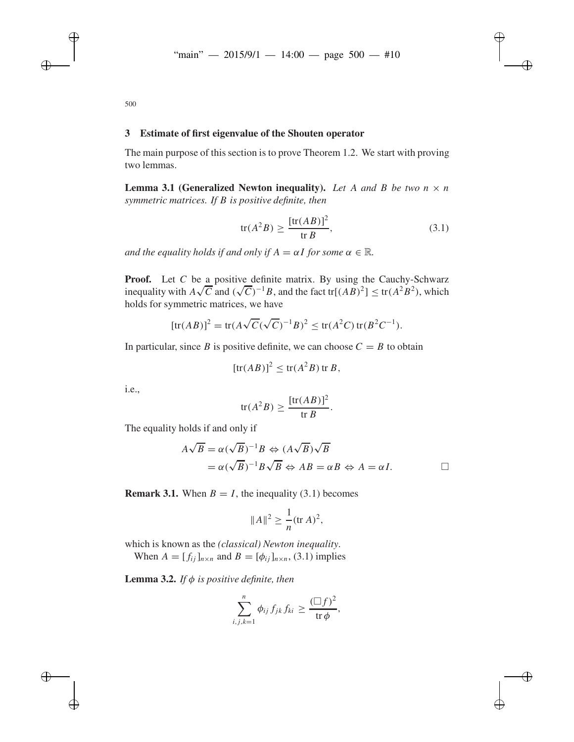500

# **3 Estimate of first eigenvalue of the Shouten operator**

The main purpose of this section is to prove Theorem 1.2. We start with proving two lemmas.

**Lemma 3.1 (Generalized Newton inequality).** Let A and B be two  $n \times n$ *symmetric matrices. If B is positive definite, then*

$$
\operatorname{tr}(A^2 B) \ge \frac{[\operatorname{tr}(AB)]^2}{\operatorname{tr} B},\tag{3.1}
$$

*and the equality holds if and only if*  $A = \alpha I$  *for some*  $\alpha \in \mathbb{R}$ *.* 

**Proof.** Let *C* be a positive definite matrix. By using the Cauchy-Schwarz **i**nequality with  $A\sqrt{C}$  and  $(\sqrt{C})^{-1}B$ , and the fact tr[ $(AB)^2$ ] ≤ tr( $A^2B^2$ ), which holds for symmetric matrices, we have

[tr(*AB*)]<sup>2</sup> = tr(
$$
A\sqrt{C}(\sqrt{C})^{-1}B
$$
)<sup>2</sup>  $\leq$  tr( $A^2C$ ) tr( $B^2C^{-1}$ ).

In particular, since *B* is positive definite, we can choose  $C = B$  to obtain

$$
[\text{tr}(AB)]^2 \le \text{tr}(A^2B) \,\text{tr}\, B,
$$

i.e.,

$$
tr(A^2B) \ge \frac{[tr(AB)]^2}{tr B}.
$$

The equality holds if and only if

$$
A\sqrt{B} = \alpha(\sqrt{B})^{-1}B \Leftrightarrow (A\sqrt{B})\sqrt{B}
$$
  
=  $\alpha(\sqrt{B})^{-1}B\sqrt{B} \Leftrightarrow AB = \alpha B \Leftrightarrow A = \alpha I.$ 

**Remark 3.1.** When  $B = I$ , the inequality (3.1) becomes

$$
||A||^2 \ge \frac{1}{n} (\text{tr } A)^2,
$$

which is known as the *(classical) Newton inequality*.

When  $A = [f_{ii}]_{n \times n}$  and  $B = [\phi_{ii}]_{n \times n}$ , (3.1) implies

**Lemma 3.2.** *If*  $\phi$  *is positive definite, then* 

$$
\sum_{i,j,k=1}^n \phi_{ij} f_{jk} f_{ki} \geq \frac{(\Box f)^2}{\operatorname{tr} \phi},
$$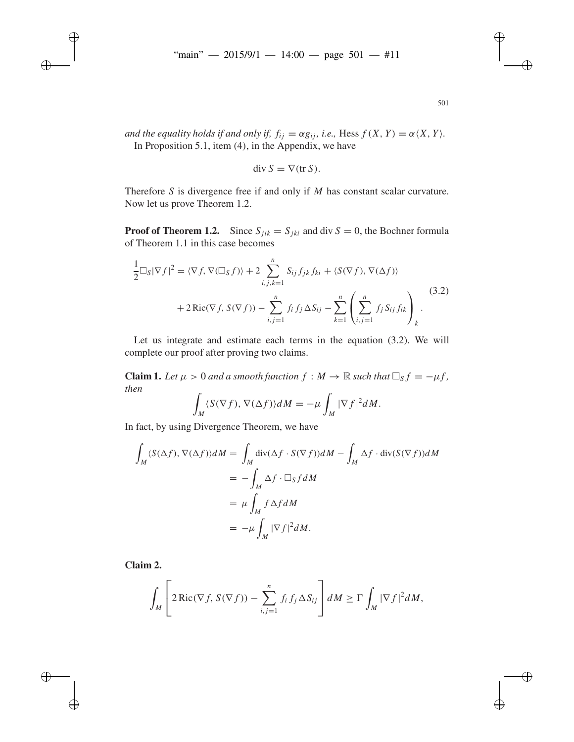*and the equality holds if and only if,*  $f_{ij} = \alpha g_{ij}$ *, i.e.,* Hess  $f(X, Y) = \alpha \langle X, Y \rangle$ . In Proposition 5.1, item (4), in the Appendix, we have

$$
\operatorname{div} S = \nabla(\operatorname{tr} S).
$$

Therefore *S* is divergence free if and only if *M* has constant scalar curvature. Now let us prove Theorem 1.2.

**Proof of Theorem 1.2.** Since  $S_{ijk} = S_{jki}$  and div  $S = 0$ , the Bochner formula of Theorem 1.1 in this case becomes

$$
\frac{1}{2}\Box_{S}|\nabla f|^{2} = \langle \nabla f, \nabla(\Box_{S}f) \rangle + 2 \sum_{i,j,k=1}^{n} S_{ij}f_{jk}f_{ki} + \langle S(\nabla f), \nabla(\Delta f) \rangle \n+ 2 \text{Ric}(\nabla f, S(\nabla f)) - \sum_{i,j=1}^{n} f_{i}f_{j} \Delta S_{ij} - \sum_{k=1}^{n} \left( \sum_{i,j=1}^{n} f_{j}S_{ij}f_{ik} \right)_{k}.
$$
\n(3.2)

Let us integrate and estimate each terms in the equation (3.2). We will complete our proof after proving two claims.

**Claim 1.** Let  $\mu > 0$  and a smooth function  $f : M \to \mathbb{R}$  such that  $\Box_S f = -\mu f$ , *then*

$$
\int_M \langle S(\nabla f), \nabla(\Delta f) \rangle dM = -\mu \int_M |\nabla f|^2 dM.
$$

In fact, by using Divergence Theorem, we have

$$
\int_{M} \langle S(\Delta f), \nabla(\Delta f) \rangle dM = \int_{M} \text{div}(\Delta f \cdot S(\nabla f)) dM - \int_{M} \Delta f \cdot \text{div}(S(\nabla f)) dM
$$
  
= 
$$
- \int_{M} \Delta f \cdot \Box_{S} f dM
$$
  
= 
$$
\mu \int_{M} f \Delta f dM
$$
  
= 
$$
-\mu \int_{M} |\nabla f|^{2} dM.
$$

**Claim 2.**

$$
\int_M \left[2\operatorname{Ric}(\nabla f, S(\nabla f)) - \sum_{i,j=1}^n f_i f_j \Delta S_{ij}\right] dM \ge \Gamma \int_M |\nabla f|^2 dM,
$$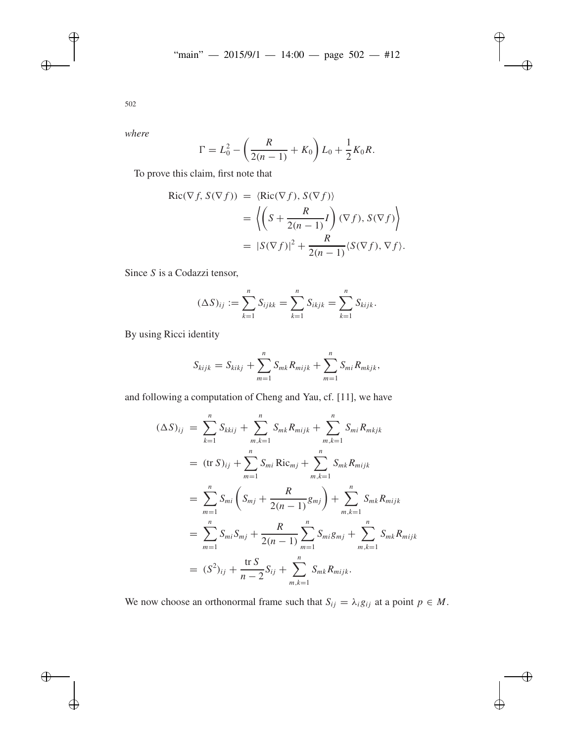*where*

$$
\Gamma = L_0^2 - \left(\frac{R}{2(n-1)} + K_0\right) L_0 + \frac{1}{2} K_0 R.
$$

To prove this claim, first note that

$$
Ric(\nabla f, S(\nabla f)) = \langle Ric(\nabla f), S(\nabla f) \rangle
$$
  
=  $\left\langle \left( S + \frac{R}{2(n-1)} I \right) (\nabla f), S(\nabla f) \right\rangle$   
=  $|S(\nabla f)|^2 + \frac{R}{2(n-1)} \langle S(\nabla f), \nabla f \rangle$ .

Since *S* is a Codazzi tensor,

$$
(\Delta S)_{ij} := \sum_{k=1}^n S_{ijkk} = \sum_{k=1}^n S_{ikjk} = \sum_{k=1}^n S_{kijk}.
$$

By using Ricci identity

$$
S_{kijk} = S_{kikj} + \sum_{m=1}^{n} S_{mk} R_{mijk} + \sum_{m=1}^{n} S_{mi} R_{mkjk},
$$

and following a computation of Cheng and Yau, cf. [11], we have

$$
(\Delta S)_{ij} = \sum_{k=1}^{n} S_{kkij} + \sum_{m,k=1}^{n} S_{mk} R_{mijk} + \sum_{m,k=1}^{n} S_{mi} R_{mkjk}
$$
  
\n
$$
= (\text{tr } S)_{ij} + \sum_{m=1}^{n} S_{mi} \text{Ric}_{mj} + \sum_{m,k=1}^{n} S_{mk} R_{mijk}
$$
  
\n
$$
= \sum_{m=1}^{n} S_{mi} \left( S_{mj} + \frac{R}{2(n-1)} g_{mj} \right) + \sum_{m,k=1}^{n} S_{mk} R_{mijk}
$$
  
\n
$$
= \sum_{m=1}^{n} S_{mi} S_{mj} + \frac{R}{2(n-1)} \sum_{m=1}^{n} S_{mi} g_{mj} + \sum_{m,k=1}^{n} S_{mk} R_{mijk}
$$
  
\n
$$
= (S^2)_{ij} + \frac{\text{tr } S}{n-2} S_{ij} + \sum_{m,k=1}^{n} S_{mk} R_{mijk}.
$$

We now choose an orthonormal frame such that  $S_{ij} = \lambda_i g_{ij}$  at a point  $p \in M$ .

502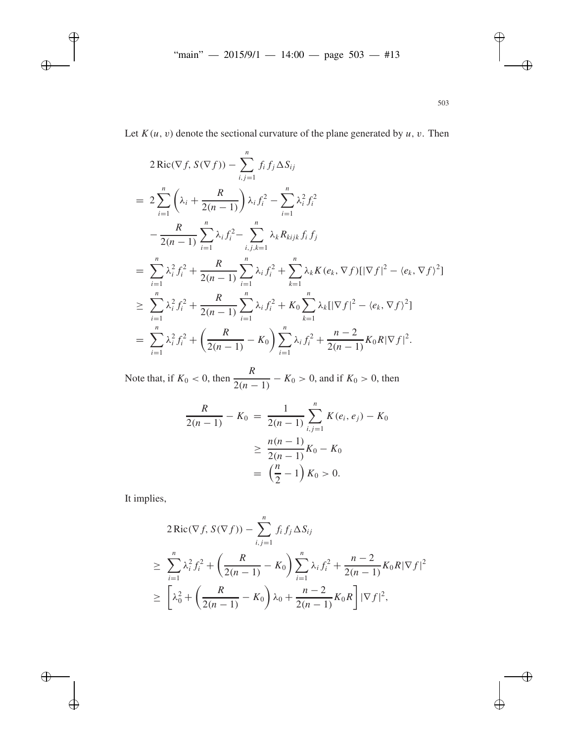Let  $K(u, v)$  denote the sectional curvature of the plane generated by  $u, v$ . Then

$$
2 \operatorname{Ric}(\nabla f, S(\nabla f)) - \sum_{i,j=1}^{n} f_i f_j \Delta S_{ij}
$$
  
= 
$$
2 \sum_{i=1}^{n} \left( \lambda_i + \frac{R}{2(n-1)} \right) \lambda_i f_i^2 - \sum_{i=1}^{n} \lambda_i^2 f_i^2
$$
  

$$
- \frac{R}{2(n-1)} \sum_{i=1}^{n} \lambda_i f_i^2 - \sum_{i,j,k=1}^{n} \lambda_k R_{kijk} f_i f_j
$$
  
= 
$$
\sum_{i=1}^{n} \lambda_i^2 f_i^2 + \frac{R}{2(n-1)} \sum_{i=1}^{n} \lambda_i f_i^2 + \sum_{k=1}^{n} \lambda_k K(e_k, \nabla f) [|\nabla f|^2 - \langle e_k, \nabla f \rangle^2]
$$
  

$$
\geq \sum_{i=1}^{n} \lambda_i^2 f_i^2 + \frac{R}{2(n-1)} \sum_{i=1}^{n} \lambda_i f_i^2 + K_0 \sum_{k=1}^{n} \lambda_k [|\nabla f|^2 - \langle e_k, \nabla f \rangle^2]
$$
  
= 
$$
\sum_{i=1}^{n} \lambda_i^2 f_i^2 + \left( \frac{R}{2(n-1)} - K_0 \right) \sum_{i=1}^{n} \lambda_i f_i^2 + \frac{n-2}{2(n-1)} K_0 R |\nabla f|^2.
$$

Note that, if  $K_0 < 0$ , then  $\frac{R}{2(n-1)} - K_0 > 0$ , and if  $K_0 > 0$ , then

$$
\frac{R}{2(n-1)} - K_0 = \frac{1}{2(n-1)} \sum_{i,j=1}^{n} K(e_i, e_j) - K_0
$$

$$
\geq \frac{n(n-1)}{2(n-1)} K_0 - K_0
$$

$$
= \left(\frac{n}{2} - 1\right) K_0 > 0.
$$

It implies,

$$
2 \operatorname{Ric}(\nabla f, S(\nabla f)) - \sum_{i,j=1}^{n} f_i f_j \Delta S_{ij}
$$
  
\n
$$
\geq \sum_{i=1}^{n} \lambda_i^2 f_i^2 + \left(\frac{R}{2(n-1)} - K_0\right) \sum_{i=1}^{n} \lambda_i f_i^2 + \frac{n-2}{2(n-1)} K_0 R |\nabla f|^2
$$
  
\n
$$
\geq \left[\lambda_0^2 + \left(\frac{R}{2(n-1)} - K_0\right) \lambda_0 + \frac{n-2}{2(n-1)} K_0 R\right] |\nabla f|^2,
$$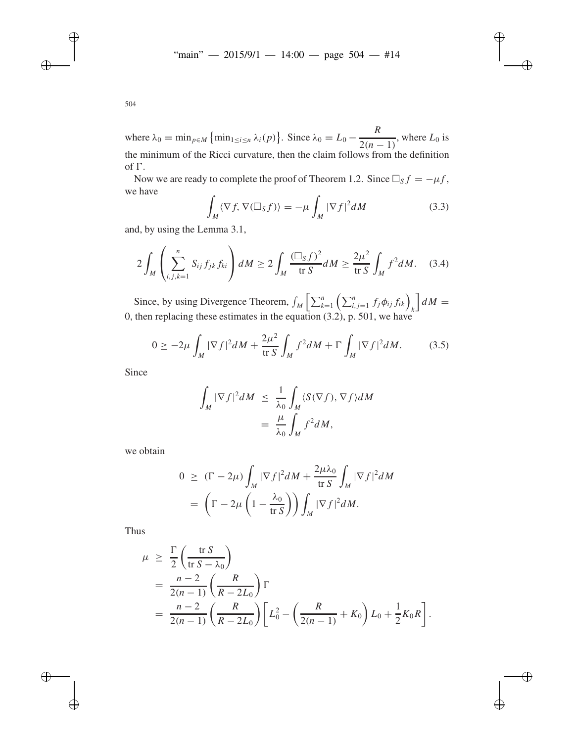where  $\lambda_0 = \min_{p \in M} \{\min_{1 \le i \le n} \lambda_i(p)\}\)$ . Since  $\lambda_0 = L_0 - \frac{R}{2(n-1)}$ , where  $L_0$  is the minimum of the Ricci curvature, then the claim follows from the definition of  $\Gamma$ .

Now we are ready to complete the proof of Theorem 1.2. Since  $\Box_S f = -\mu f$ , we have

$$
\int_{M} \langle \nabla f, \nabla (\Box_{S} f) \rangle = -\mu \int_{M} |\nabla f|^{2} dM \tag{3.3}
$$

and, by using the Lemma 3.1,

$$
2\int_{M}\left(\sum_{i,j,k=1}^{n}S_{ij}f_{jk}f_{ki}\right)dM \ge 2\int_{M}\frac{(\Box_{S}f)^{2}}{\operatorname{tr} S}dM \ge \frac{2\mu^{2}}{\operatorname{tr} S}\int_{M}f^{2}dM. \quad (3.4)
$$

Since, by using Divergence Theorem,  $\iint_M \left[ \sum_{k=1}^n \left( \sum_{i,j=1}^n f_j \phi_{ij} f_{ik} \right) \right]$  $\int dM =$ 0, then replacing these estimates in the equation (3.2), p. 501, we have

$$
0 \ge -2\mu \int_M |\nabla f|^2 dM + \frac{2\mu^2}{\operatorname{tr} S} \int_M f^2 dM + \Gamma \int_M |\nabla f|^2 dM. \tag{3.5}
$$

Since

$$
\int_{M} |\nabla f|^{2} dM \leq \frac{1}{\lambda_{0}} \int_{M} \langle S(\nabla f), \nabla f \rangle dM
$$

$$
= \frac{\mu}{\lambda_{0}} \int_{M} f^{2} dM,
$$

we obtain

$$
0 \geq (\Gamma - 2\mu) \int_M |\nabla f|^2 dM + \frac{2\mu\lambda_0}{\text{tr } S} \int_M |\nabla f|^2 dM
$$
  
= 
$$
\left(\Gamma - 2\mu \left(1 - \frac{\lambda_0}{\text{tr } S}\right)\right) \int_M |\nabla f|^2 dM.
$$

Thus

$$
\mu \geq \frac{\Gamma}{2} \left( \frac{\text{tr } S}{\text{tr } S - \lambda_0} \right)
$$
  
=  $\frac{n-2}{2(n-1)} \left( \frac{R}{R - 2L_0} \right) \Gamma$   
=  $\frac{n-2}{2(n-1)} \left( \frac{R}{R - 2L_0} \right) \left[ L_0^2 - \left( \frac{R}{2(n-1)} + K_0 \right) L_0 + \frac{1}{2} K_0 R \right].$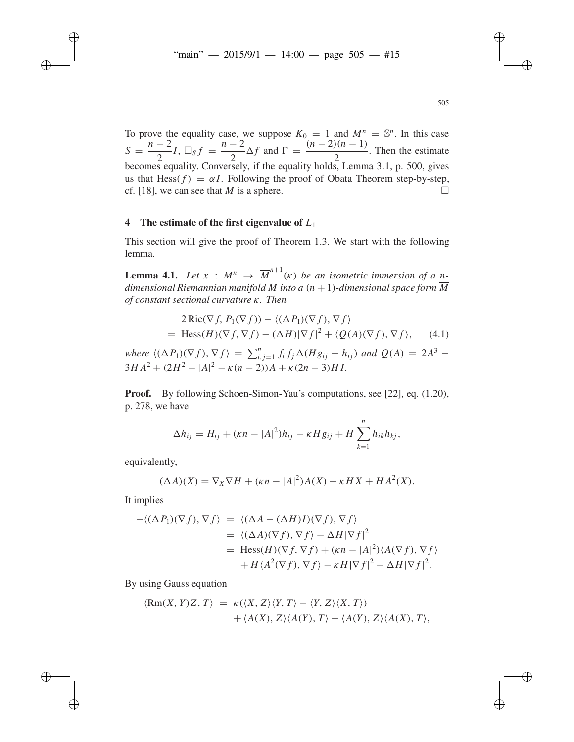To prove the equality case, we suppose  $K_0 = 1$  and  $M^n = \mathbb{S}^n$ . In this case  $S = \frac{n-2}{2}$  $\frac{n-2}{2}I$ ,  $\Box_{S} f = \frac{n-2}{2} \Delta f$  and  $\Gamma = \frac{(n-2)(n-1)}{2}$  $\frac{2}{2}$ . Then the estimate becomes equality. Conversely, if the equality holds, Lemma 3.1, p. 500, gives us that Hess( $f$ ) =  $\alpha I$ . Following the proof of Obata Theorem step-by-step, cf. [18], we can see that *M* is a sphere.  $\square$ 

#### **4 The estimate of the first eigenvalue of** *L*<sup>1</sup>

This section will give the proof of Theorem 1.3. We start with the following lemma.

**Lemma 4.1.** Let  $x : M^n \to \overline{M}^{n+1}(\kappa)$  be an isometric immersion of a n*dimensional Riemannian manifold M into a*  $(n + 1)$ *-dimensional space form*  $\overline{M}$ *of constant sectional curvature* κ*. Then*

$$
2 \operatorname{Ric}(\nabla f, P_1(\nabla f)) - \langle (\Delta P_1)(\nabla f), \nabla f \rangle
$$
  
= Hess(H)(\nabla f, \nabla f) - (\Delta H)|\nabla f|^2 + \langle Q(A)(\nabla f), \nabla f \rangle, (4.1)

*where*  $\langle (\Delta P_1)(\nabla f), \nabla f \rangle = \sum_{i,j=1}^n f_i f_j \Delta(Hg_{ij} - h_{ij})$  *and*  $Q(A) = 2A^3 3HA^{2} + (2H^{2} - |A|^{2} - \kappa(n-2))A + \kappa(2n-3)HI$ .

**Proof.** By following Schoen-Simon-Yau's computations, see [22], eq. (1.20), p. 278, we have

$$
\Delta h_{ij} = H_{ij} + (\kappa n - |A|^2)h_{ij} - \kappa H g_{ij} + H \sum_{k=1}^n h_{ik} h_{kj},
$$

equivalently,

$$
(\Delta A)(X) = \nabla_X \nabla H + (\kappa n - |A|^2)A(X) - \kappa H X + H A^2(X).
$$

It implies

$$
-\langle (\Delta P_1)(\nabla f), \nabla f \rangle = \langle (\Delta A - (\Delta H)I)(\nabla f), \nabla f \rangle
$$
  
\n
$$
= \langle (\Delta A)(\nabla f), \nabla f \rangle - \Delta H |\nabla f|^2
$$
  
\n
$$
= \text{Hess}(H)(\nabla f, \nabla f) + (\kappa n - |A|^2) \langle A(\nabla f), \nabla f \rangle
$$
  
\n
$$
+ H \langle A^2(\nabla f), \nabla f \rangle - \kappa H |\nabla f|^2 - \Delta H |\nabla f|^2.
$$

By using Gauss equation

$$
\langle Rm(X, Y)Z, T \rangle = \kappa(\langle X, Z \rangle \langle Y, T \rangle - \langle Y, Z \rangle \langle X, T \rangle) + \langle A(X), Z \rangle \langle A(Y), T \rangle - \langle A(Y), Z \rangle \langle A(X), T \rangle,
$$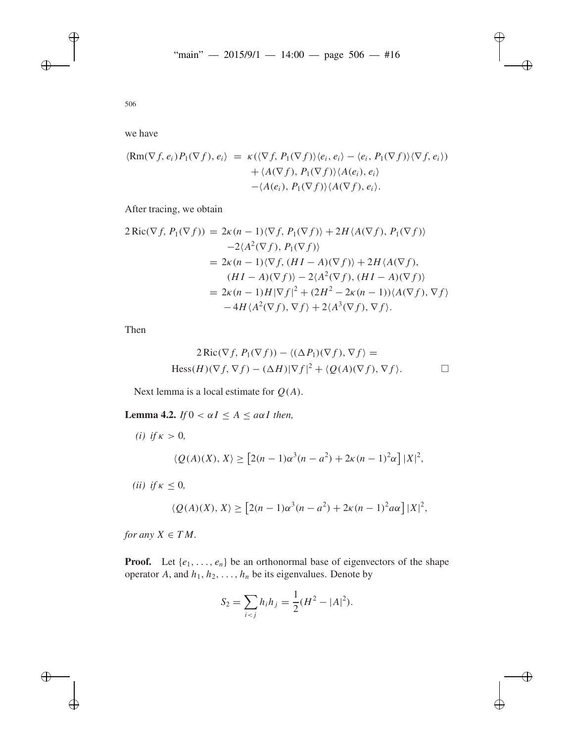we have

$$
\langle Rm(\nabla f, e_i) P_1(\nabla f), e_i \rangle = \kappa (\langle \nabla f, P_1(\nabla f) \rangle \langle e_i, e_i \rangle - \langle e_i, P_1(\nabla f) \rangle \langle \nabla f, e_i \rangle)
$$
  
+  $\langle A(\nabla f), P_1(\nabla f) \rangle \langle A(e_i), e_i \rangle$   
-  $\langle A(e_i), P_1(\nabla f) \rangle \langle A(\nabla f), e_i \rangle$ .

After tracing, we obtain

$$
2 \operatorname{Ric}(\nabla f, P_1(\nabla f)) = 2\kappa (n - 1)\langle \nabla f, P_1(\nabla f) \rangle + 2H \langle A(\nabla f), P_1(\nabla f) \rangle
$$
  
\n
$$
-2\langle A^2(\nabla f), P_1(\nabla f) \rangle
$$
  
\n
$$
= 2\kappa (n - 1)\langle \nabla f, (H I - A)(\nabla f) \rangle + 2H \langle A(\nabla f),
$$
  
\n
$$
(H I - A)(\nabla f) \rangle - 2\langle A^2(\nabla f), (H I - A)(\nabla f) \rangle
$$
  
\n
$$
= 2\kappa (n - 1)H|\nabla f|^2 + (2H^2 - 2\kappa (n - 1))\langle A(\nabla f), \nabla f \rangle
$$
  
\n
$$
-4H \langle A^2(\nabla f), \nabla f \rangle + 2\langle A^3(\nabla f), \nabla f \rangle.
$$

Then

$$
2\operatorname{Ric}(\nabla f, P_1(\nabla f)) - \langle (\Delta P_1)(\nabla f), \nabla f \rangle =
$$
  
Hess $(H)(\nabla f, \nabla f) - (\Delta H)|\nabla f|^2 + \langle Q(A)(\nabla f), \nabla f \rangle.$ 

Next lemma is a local estimate for *Q*(*A*).

**Lemma 4.2.** *If*  $0 < \alpha I \leq A \leq a\alpha I$  *then,* 

*(i) if*  $\kappa > 0$ *,*  $\langle Q(A)(X), X \rangle \geq [2(n-1)\alpha^3(n-a^2) + 2\kappa(n-1)^2\alpha] |X|^2$ , *(ii) if*  $\kappa \leq 0$ ,  $\langle Q(A)(X), X \rangle \geq [2(n-1)\alpha^3(n-a^2) + 2\kappa(n-1)^2 a\alpha] |X|^2$ ,

*for any*  $X \in TM$ .

**Proof.** Let  $\{e_1, \ldots, e_n\}$  be an orthonormal base of eigenvectors of the shape operator *A*, and  $h_1, h_2, \ldots, h_n$  be its eigenvalues. Denote by

$$
S_2 = \sum_{i < j} h_i h_j = \frac{1}{2} (H^2 - |A|^2).
$$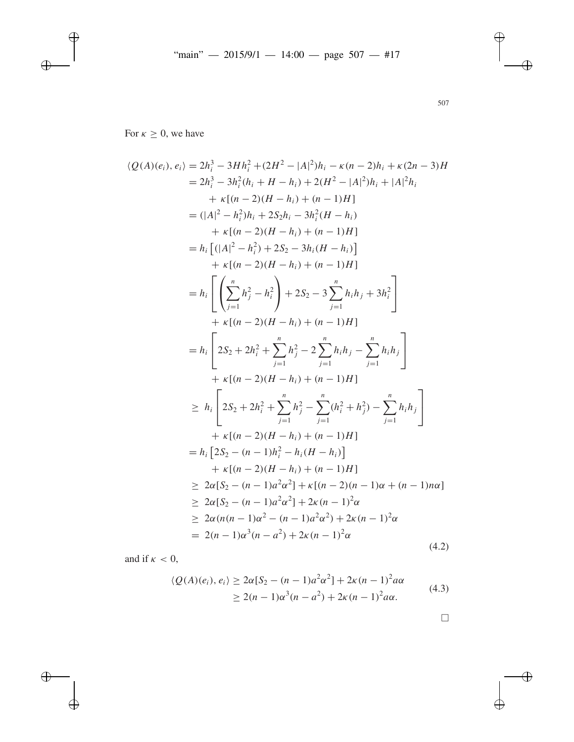For  $\kappa \geq 0$ , we have

$$
\langle Q(A)(e_i), e_i \rangle = 2h_i^3 - 3Hh_i^2 + (2H^2 - |A|^2)h_i - \kappa(n-2)h_i + \kappa(2n-3)H
$$
  
\n
$$
= 2h_i^3 - 3h_i^2(h_i + H - h_i) + 2(H^2 - |A|^2)h_i + |A|^2h_i
$$
  
\n
$$
+ \kappa[(n-2)(H - h_i) + (n-1)H]
$$
  
\n
$$
= (|A|^2 - h_i^2)h_i + 2S_2h_i - 3h_i^2(H - h_i)
$$
  
\n
$$
+ \kappa[(n-2)(H - h_i) + (n-1)H]
$$
  
\n
$$
= h_i [(|A|^2 - h_i^2) + 2S_2 - 3h_i(H - h_i)]
$$
  
\n
$$
+ \kappa[(n-2)(H - h_i) + (n-1)H]
$$
  
\n
$$
= h_i \left[ \left( \sum_{j=1}^n h_j^2 - h_i^2 \right) + 2S_2 - 3 \sum_{j=1}^n h_i h_j + 3h_i^2 \right]
$$
  
\n
$$
+ \kappa[(n-2)(H - h_i) + (n-1)H]
$$
  
\n
$$
= h_i \left[ 2S_2 + 2h_i^2 + \sum_{j=1}^n h_j^2 - 2 \sum_{j=1}^n h_i h_j - \sum_{j=1}^n h_i h_j \right]
$$
  
\n
$$
+ \kappa[(n-2)(H - h_i) + (n-1)H]
$$
  
\n
$$
\ge h_i \left[ 2S_2 + 2h_i^2 + \sum_{j=1}^n h_j^2 - \sum_{j=1}^n (h_i^2 + h_j^2) - \sum_{j=1}^n h_i h_j \right]
$$
  
\n
$$
+ \kappa[(n-2)(H - h_i) + (n-1)H]
$$
  
\n
$$
= h_i [2S_2 - (n-1)h_i^2 - h_i(H - h_i)]
$$
  
\n
$$
+ \kappa[(n-2)(H - h_i) + (n-1)H]
$$
  
\n
$$
\ge 2\alpha[S_2 - (n-1)a^2\alpha^2] + \kappa[(n-2)(n-1)\alpha + (n-1)n\alpha]
$$

and if  $\kappa < 0$ ,

$$
\langle Q(A)(e_i), e_i \rangle \ge 2\alpha [S_2 - (n-1)a^2 \alpha^2] + 2\kappa (n-1)^2 a \alpha
$$
  
 
$$
\ge 2(n-1)\alpha^3 (n-a^2) + 2\kappa (n-1)^2 a \alpha.
$$
 (4.3)

507

 $\Box$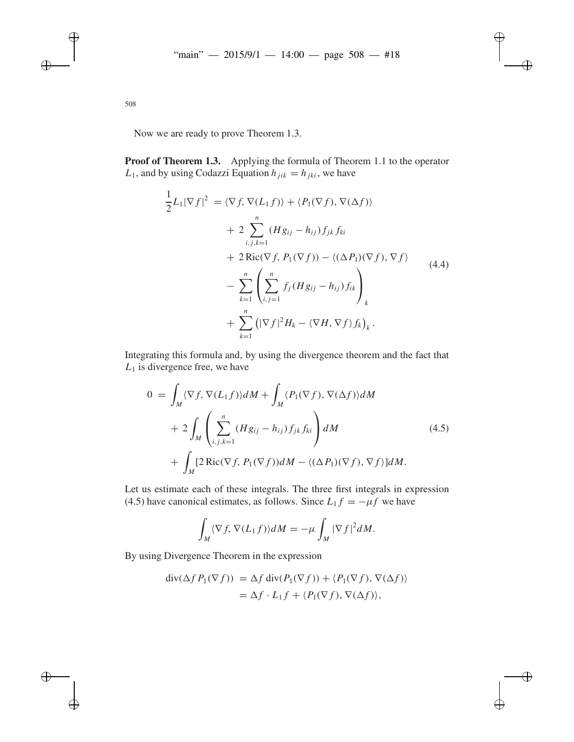Now we are ready to prove Theorem 1.3.

**Proof of Theorem 1.3.** Applying the formula of Theorem 1.1 to the operator  $L_1$ , and by using Codazzi Equation  $h_{ijk} = h_{ikj}$ , we have

$$
\frac{1}{2}L_1|\nabla f|^2 = \langle \nabla f, \nabla (L_1 f) \rangle + \langle P_1(\nabla f), \nabla (\Delta f) \rangle \n+ 2 \sum_{i,j,k=1}^n (Hg_{ij} - h_{ij}) f_{jk} f_{ki} \n+ 2 \text{Ric}(\nabla f, P_1(\nabla f)) - \langle (\Delta P_1)(\nabla f), \nabla f \rangle \n- \sum_{k=1}^n \left( \sum_{i,j=1}^n f_j (Hg_{ij} - h_{ij}) f_{ik} \right)_k \n+ \sum_{k=1}^n \left( |\nabla f|^2 H_k - \langle \nabla H, \nabla f \rangle f_k \right)_k.
$$
\n(4.4)

Integrating this formula and, by using the divergence theorem and the fact that  $L_1$  is divergence free, we have

$$
0 = \int_M \langle \nabla f, \nabla (L_1 f) \rangle dM + \int_M \langle P_1(\nabla f), \nabla (\Delta f) \rangle dM
$$
  
+ 
$$
2 \int_M \left( \sum_{i,j,k=1}^n (Hg_{ij} - h_{ij}) f_{jk} f_{ki} \right) dM
$$
  
+ 
$$
\int_M [2 \text{Ric}(\nabla f, P_1(\nabla f)) dM - \langle (\Delta P_1)(\nabla f), \nabla f \rangle] dM.
$$
 (4.5)

Let us estimate each of these integrals. The three first integrals in expression (4.5) have canonical estimates, as follows. Since  $L_1 f = -\mu f$  we have

$$
\int_M \langle \nabla f, \nabla (L_1 f) \rangle dM = -\mu \int_M |\nabla f|^2 dM.
$$

By using Divergence Theorem in the expression

$$
\begin{aligned} \operatorname{div}(\Delta f P_1(\nabla f)) &= \Delta f \operatorname{div}(P_1(\nabla f)) + \langle P_1(\nabla f), \nabla(\Delta f) \rangle \\ &= \Delta f \cdot L_1 f + \langle P_1(\nabla f), \nabla(\Delta f) \rangle, \end{aligned}
$$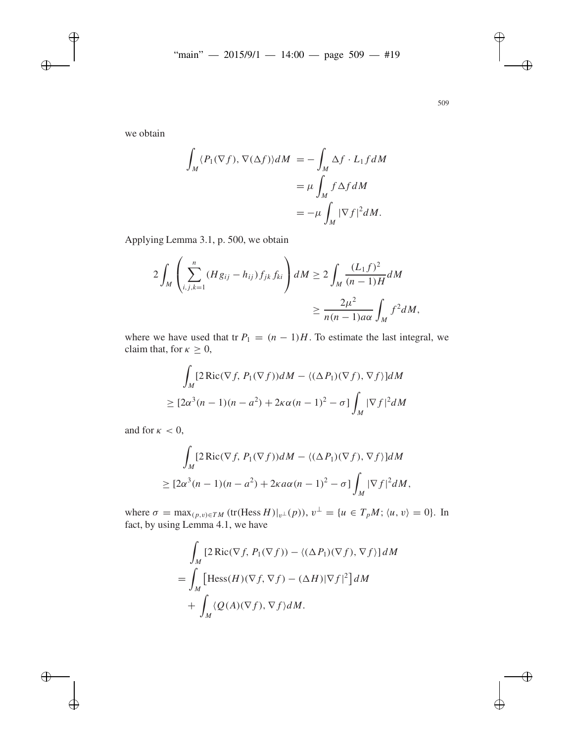we obtain

$$
\int_{M} \langle P_{1}(\nabla f), \nabla(\Delta f) \rangle dM = -\int_{M} \Delta f \cdot L_{1} f dM
$$

$$
= \mu \int_{M} f \Delta f dM
$$

$$
= -\mu \int_{M} |\nabla f|^{2} dM.
$$

Applying Lemma 3.1, p. 500, we obtain

$$
2\int_{M}\left(\sum_{i,j,k=1}^{n}(Hg_{ij}-h_{ij})f_{jk}f_{ki}\right)dM \geq 2\int_{M}\frac{(L_{1}f)^{2}}{(n-1)H}dM
$$

$$
\geq \frac{2\mu^{2}}{n(n-1)a\alpha}\int_{M}f^{2}dM,
$$

where we have used that tr  $P_1 = (n-1)H$ . To estimate the last integral, we claim that, for  $\kappa \geq 0$ ,

$$
\int_M [2 \operatorname{Ric}(\nabla f, P_1(\nabla f)) dM - \langle (\Delta P_1)(\nabla f), \nabla f \rangle] dM
$$
  
\n
$$
\geq [2\alpha^3(n-1)(n-a^2) + 2\kappa\alpha(n-1)^2 - \sigma] \int_M |\nabla f|^2 dM
$$

and for  $\kappa < 0$ ,

$$
\int_{M} [2 \operatorname{Ric}(\nabla f, P_1(\nabla f)) dM - \langle (\Delta P_1)(\nabla f), \nabla f \rangle] dM
$$
  
\n
$$
\geq [2\alpha^3(n-1)(n-a^2) + 2\kappa a\alpha(n-1)^2 - \sigma] \int_{M} |\nabla f|^2 dM,
$$

where  $\sigma = \max_{(p,v)\in TM}$  (tr(Hess *H*)|<sub>v</sub>⊥(*p*)),  $v^{\perp} = \{u \in T_pM; \langle u, v \rangle = 0\}$ . In fact, by using Lemma 4.1, we have

$$
\int_{M} \left[ 2 \operatorname{Ric}(\nabla f, P_{1}(\nabla f)) - \langle (\Delta P_{1})(\nabla f), \nabla f \rangle \right] dM
$$
\n
$$
= \int_{M} \left[ \operatorname{Hess}(H)(\nabla f, \nabla f) - (\Delta H)|\nabla f|^{2} \right] dM
$$
\n
$$
+ \int_{M} \langle Q(A)(\nabla f), \nabla f \rangle dM.
$$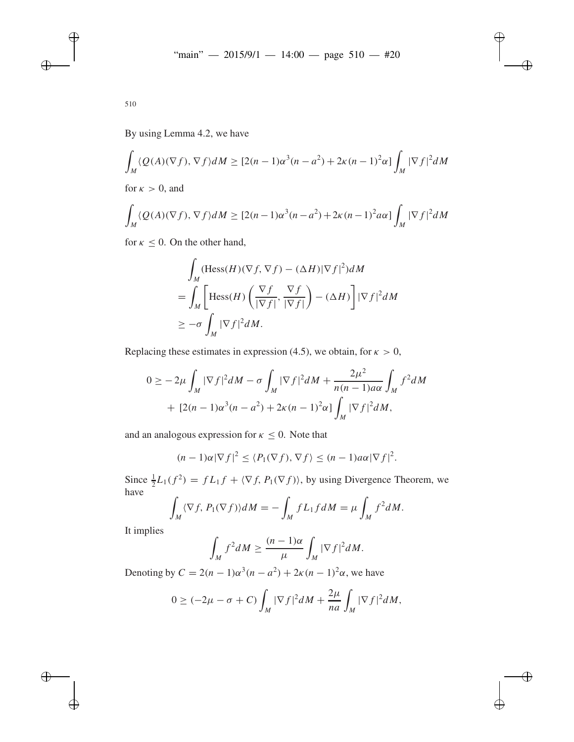By using Lemma 4.2, we have

$$
\int_M \langle Q(A)(\nabla f), \nabla f \rangle dM \geq [2(n-1)\alpha^3(n-a^2) + 2\kappa(n-1)^2\alpha] \int_M |\nabla f|^2 dM
$$

for  $\kappa > 0$ , and

$$
\int_M \langle Q(A)(\nabla f), \nabla f \rangle dM \geq [2(n-1)\alpha^3(n-a^2) + 2\kappa(n-1)^2 a\alpha] \int_M |\nabla f|^2 dM
$$

for  $\kappa \leq 0$ . On the other hand,

$$
\int_{M} (\text{Hess}(H)(\nabla f, \nabla f) - (\Delta H)|\nabla f|^{2}) dM
$$
\n
$$
= \int_{M} \left[ \text{Hess}(H) \left( \frac{\nabla f}{|\nabla f|}, \frac{\nabla f}{|\nabla f|} \right) - (\Delta H) \right] |\nabla f|^{2} dM
$$
\n
$$
\geq -\sigma \int_{M} |\nabla f|^{2} dM.
$$

Replacing these estimates in expression (4.5), we obtain, for  $\kappa > 0$ ,

$$
0 \ge -2\mu \int_M |\nabla f|^2 dM - \sigma \int_M |\nabla f|^2 dM + \frac{2\mu^2}{n(n-1)a\alpha} \int_M f^2 dM
$$
  
+  $[2(n-1)\alpha^3(n-a^2) + 2\kappa(n-1)^2\alpha] \int_M |\nabla f|^2 dM,$ 

and an analogous expression for  $\kappa \leq 0$ . Note that

$$
(n-1)\alpha|\nabla f|^2 \leq \langle P_1(\nabla f), \nabla f \rangle \leq (n-1)a\alpha|\nabla f|^2.
$$

Since  $\frac{1}{2}L_1(f^2) = fL_1 f + \langle \nabla f, P_1(\nabla f) \rangle$ , by using Divergence Theorem, we have

$$
\int_M \langle \nabla f, P_1(\nabla f) \rangle dM = -\int_M f L_1 f dM = \mu \int_M f^2 dM.
$$

It implies

$$
\int_M f^2 dM \ge \frac{(n-1)\alpha}{\mu} \int_M |\nabla f|^2 dM.
$$

Denoting by  $C = 2(n - 1)\alpha^3(n - a^2) + 2\kappa(n - 1)^2\alpha$ , we have

$$
0 \geq (-2\mu - \sigma + C) \int_M |\nabla f|^2 dM + \frac{2\mu}{na} \int_M |\nabla f|^2 dM,
$$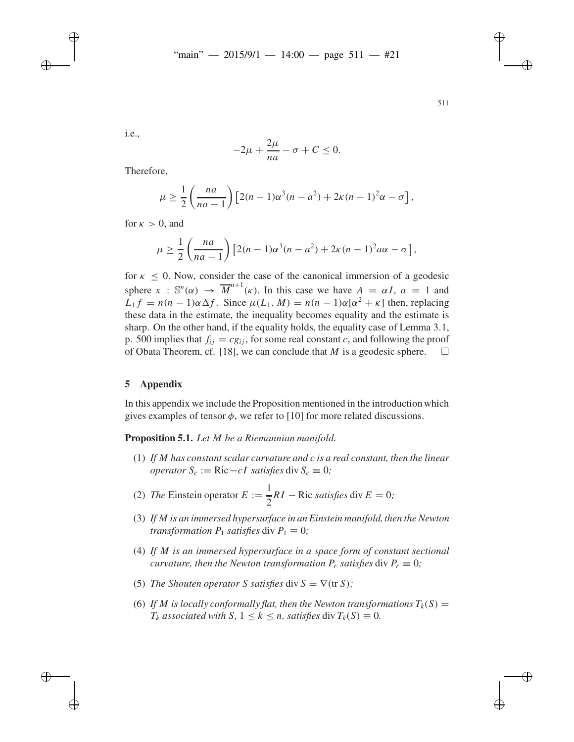i.e.,

$$
-2\mu + \frac{2\mu}{na} - \sigma + C \le 0.
$$

Therefore,

$$
\mu \geq \frac{1}{2} \left( \frac{na}{na-1} \right) \left[ 2(n-1)\alpha^3(n-a^2) + 2\kappa(n-1)^2 \alpha - \sigma \right],
$$

for  $\kappa > 0$ , and

$$
\mu \geq \frac{1}{2} \left( \frac{na}{na-1} \right) \left[ 2(n-1)\alpha^3(n-a^2) + 2\kappa(n-1)^2 a\alpha - \sigma \right],
$$

for  $\kappa$  < 0. Now, consider the case of the canonical immersion of a geodesic sphere  $x : \mathbb{S}^n(\alpha) \to \overline{M}^{n+1}(\kappa)$ . In this case we have  $A = \alpha I$ ,  $a = 1$  and  $L_1 f = n(n-1)\alpha \Delta f$ . Since  $\mu(L_1, M) = n(n-1)\alpha[\alpha^2 + \kappa]$  then, replacing these data in the estimate, the inequality becomes equality and the estimate is sharp. On the other hand, if the equality holds, the equality case of Lemma 3.1, p. 500 implies that  $f_{ij} = cg_{ij}$ , for some real constant *c*, and following the proof of Obata Theorem, cf. [18], we can conclude that *M* is a geodesic sphere.  $\Box$ 

# **5 Appendix**

In this appendix we include the Proposition mentioned in the introduction which gives examples of tensor  $\phi$ , we refer to [10] for more related discussions.

**Proposition 5.1.** *Let M be a Riemannian manifold.*

- (1) *If M has constant scalar curvature and c is a real constant, then the linear operator*  $S_c := \text{Ric} - cI$  *satisfies* div  $S_c \equiv 0$ *;*
- (2) *The* Einstein operator  $E := \frac{1}{2}$  $\frac{1}{2}RI - \text{Ric satisfies } \text{div } E = 0;$
- (3) If M is an immersed hypersurface in an Einstein manifold, then the Newton *transformation*  $P_1$  *satisfies* div  $P_1 \equiv 0$ *;*
- (4) *If M is an immersed hypersurface in a space form of constant sectional curvature, then the Newton transformation*  $P_r$  *satisfies div*  $P_r \equiv 0$ *;*
- (5) *The Shouten operator S satisfies* div  $S = \nabla(\text{tr } S)$ ;
- (6) If M is locally conformally flat, then the Newton transformations  $T_k(S)$  =  $T_k$  *associated with S*,  $1 \leq k \leq n$ *, satisfies* div  $T_k(S) \equiv 0$ *.*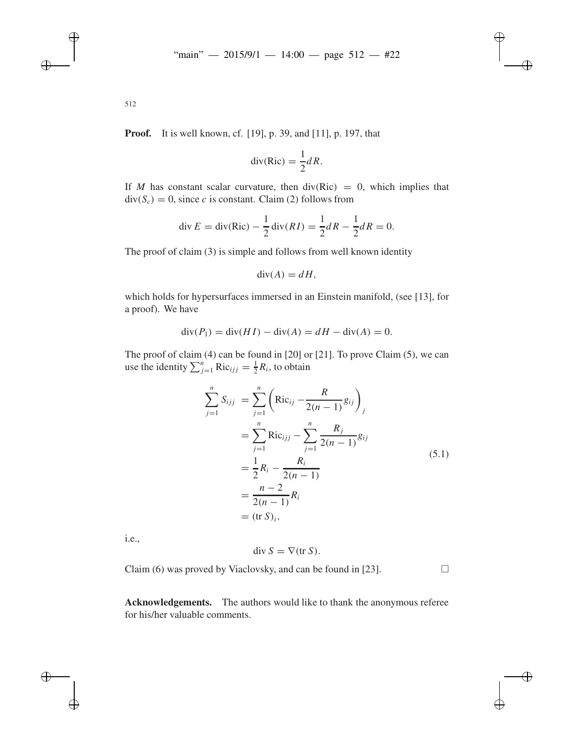**Proof.** It is well known, cf. [19], p. 39, and [11], p. 197, that

$$
\operatorname{div}(\operatorname{Ric}) = \frac{1}{2} dR.
$$

If *M* has constant scalar curvature, then  $div(Ric) = 0$ , which implies that  $div(S_c) = 0$ , since *c* is constant. Claim (2) follows from

div 
$$
E = \text{div}(\text{Ric}) - \frac{1}{2} \text{div}(RI) = \frac{1}{2} dR - \frac{1}{2} dR = 0.
$$

The proof of claim (3) is simple and follows from well known identity

$$
\operatorname{div}(A) = dH,
$$

which holds for hypersurfaces immersed in an Einstein manifold, (see [13], for a proof). We have

$$
\operatorname{div}(P_1) = \operatorname{div}(H I) - \operatorname{div}(A) = dH - \operatorname{div}(A) = 0.
$$

The proof of claim (4) can be found in [20] or [21]. To prove Claim (5), we can use the identity  $\sum_{j=1}^{n} \text{Ric}_{ijj} = \frac{1}{2}R_i$ , to obtain

$$
\sum_{j=1}^{n} S_{ijj} = \sum_{j=1}^{n} \left( \text{Ric}_{ij} - \frac{R}{2(n-1)} g_{ij} \right)_j
$$
  
= 
$$
\sum_{j=1}^{n} \text{Ric}_{ijj} - \sum_{j=1}^{n} \frac{R_j}{2(n-1)} g_{ij}
$$
  
= 
$$
\frac{1}{2} R_i - \frac{R_i}{2(n-1)}
$$
  
= 
$$
\frac{n-2}{2(n-1)} R_i
$$
  
= (tr S)<sub>i</sub>, (5.1)

i.e.,

$$
\operatorname{div} S = \nabla(\operatorname{tr} S).
$$

Claim (6) was proved by Viaclovsky, and can be found in [23].  $\Box$ 

**Acknowledgements.** The authors would like to thank the anonymous referee for his/her valuable comments.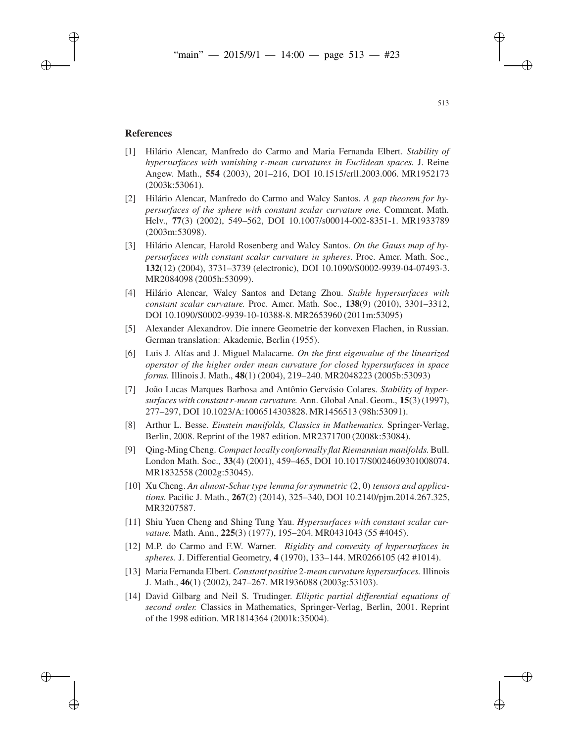## **References**

- [1] Hilário Alencar, Manfredo do Carmo and Maria Fernanda Elbert. *Stability of hypersurfaces with vanishing r-mean curvatures in Euclidean spaces.* J. Reine Angew. Math., **554** (2003), 201–216, DOI 10.1515/crll.2003.006. MR1952173 (2003k:53061).
- [2] Hilário Alencar, Manfredo do Carmo and Walcy Santos. *A gap theorem for hypersurfaces of the sphere with constant scalar curvature one.* Comment. Math. Helv., **77**(3) (2002), 549–562, DOI 10.1007/s00014-002-8351-1. MR1933789 (2003m:53098).
- [3] Hilário Alencar, Harold Rosenberg and Walcy Santos. *On the Gauss map of hypersurfaces with constant scalar curvature in spheres*. Proc. Amer. Math. Soc., **132**(12) (2004), 3731–3739 (electronic), DOI 10.1090/S0002-9939-04-07493-3. MR2084098 (2005h:53099).
- [4] Hilário Alencar, Walcy Santos and Detang Zhou. *Stable hypersurfaces with constant scalar curvature.* Proc. Amer. Math. Soc., **138**(9) (2010), 3301–3312, DOI 10.1090/S0002-9939-10-10388-8. MR2653960 (2011m:53095)
- [5] Alexander Alexandrov. Die innere Geometrie der konvexen Flachen, in Russian. German translation: Akademie, Berlin (1955).
- [6] Luis J. Alías and J. Miguel Malacarne. *On the first eigenvalue of the linearized operator of the higher order mean curvature for closed hypersurfaces in space forms.* Illinois J. Math., **48**(1) (2004), 219–240. MR2048223 (2005b:53093)
- [7] João Lucas Marques Barbosa and Antônio Gervásio Colares. *Stability of hypersurfaces with constant r-mean curvature.* Ann. Global Anal. Geom., **15**(3) (1997), 277–297, DOI 10.1023/A:1006514303828. MR1456513 (98h:53091).
- [8] Arthur L. Besse. *Einstein manifolds, Classics in Mathematics.* Springer-Verlag, Berlin, 2008. Reprint of the 1987 edition. MR2371700 (2008k:53084).
- [9] Qing-Ming Cheng. *Compact locally conformally flat Riemannian manifolds.*Bull. London Math. Soc., **33**(4) (2001), 459–465, DOI 10.1017/S0024609301008074. MR1832558 (2002g:53045).
- [10] Xu Cheng. *An almost-Schur type lemma for symmetric* (2, 0) *tensors and applications.* Pacific J. Math., **267**(2) (2014), 325–340, DOI 10.2140/pjm.2014.267.325, MR3207587.
- [11] Shiu Yuen Cheng and Shing Tung Yau. *Hypersurfaces with constant scalar curvature.* Math. Ann., **225**(3) (1977), 195–204. MR0431043 (55 #4045).
- [12] M.P. do Carmo and F.W. Warner. *Rigidity and convexity of hypersurfaces in spheres.* J. Differential Geometry, **4** (1970), 133–144. MR0266105 (42 #1014).
- [13] Maria Fernanda Elbert. *Constant positive* 2*-mean curvature hypersurfaces.* Illinois J. Math., **46**(1) (2002), 247–267. MR1936088 (2003g:53103).
- [14] David Gilbarg and Neil S. Trudinger. *Elliptic partial differential equations of second order.* Classics in Mathematics, Springer-Verlag, Berlin, 2001. Reprint of the 1998 edition. MR1814364 (2001k:35004).